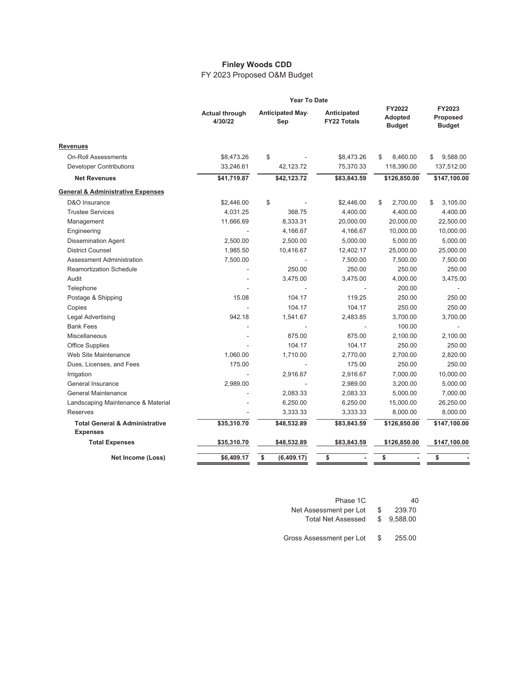## **Finley Woods CDD**

FY 2023 Proposed O&M Budget

|                                                              |                                  | <b>Year To Date</b>           |                                   |                                    |                                     |
|--------------------------------------------------------------|----------------------------------|-------------------------------|-----------------------------------|------------------------------------|-------------------------------------|
|                                                              | <b>Actual through</b><br>4/30/22 | <b>Anticipated May</b><br>Sep | Anticipated<br><b>FY22 Totals</b> | FY2022<br>Adopted<br><b>Budget</b> | FY2023<br>Proposed<br><b>Budget</b> |
| Revenues                                                     |                                  |                               |                                   |                                    |                                     |
| <b>On-Roll Assessments</b>                                   | \$8,473.26                       | \$                            | \$8,473.26                        | \$<br>8,460.00                     | 9,588.00<br>\$                      |
| <b>Developer Contributions</b>                               | 33,246.61                        | 42,123.72                     | 75,370.33                         | 118,390.00                         | 137,512.00                          |
| <b>Net Revenues</b>                                          | \$41,719.87                      | \$42,123.72                   | \$83,843.59                       | \$126,850.00                       | \$147,100.00                        |
| <b>General &amp; Administrative Expenses</b>                 |                                  |                               |                                   |                                    |                                     |
| D&O Insurance                                                | \$2,446.00                       | \$                            | \$2,446.00                        | \$<br>2,700.00                     | \$<br>3,105.00                      |
| <b>Trustee Services</b>                                      | 4,031.25                         | 368.75                        | 4,400.00                          | 4,400.00                           | 4,400.00                            |
| Management                                                   | 11,666.69                        | 8.333.31                      | 20,000.00                         | 20,000.00                          | 22,500.00                           |
| Engineering                                                  |                                  | 4,166.67                      | 4,166.67                          | 10,000.00                          | 10,000.00                           |
| <b>Dissemination Agent</b>                                   | 2,500.00                         | 2,500.00                      | 5,000.00                          | 5,000.00                           | 5,000.00                            |
| <b>District Counsel</b>                                      | 1,985.50                         | 10,416.67                     | 12,402.17                         | 25,000.00                          | 25,000.00                           |
| <b>Assessment Administration</b>                             | 7,500.00                         |                               | 7,500.00                          | 7,500.00                           | 7,500.00                            |
| <b>Reamortization Schedule</b>                               |                                  | 250.00                        | 250.00                            | 250.00                             | 250.00                              |
| Audit                                                        |                                  | 3,475.00                      | 3,475.00                          | 4,000.00                           | 3,475.00                            |
| Telephone                                                    |                                  |                               |                                   | 200.00                             |                                     |
| Postage & Shipping                                           | 15.08                            | 104.17                        | 119.25                            | 250.00                             | 250.00                              |
| Copies                                                       |                                  | 104.17                        | 104.17                            | 250.00                             | 250.00                              |
| <b>Legal Advertising</b>                                     | 942.18                           | 1,541.67                      | 2,483.85                          | 3,700.00                           | 3,700.00                            |
| <b>Bank Fees</b>                                             |                                  |                               |                                   | 100.00                             |                                     |
| <b>Miscellaneous</b>                                         |                                  | 875.00                        | 875.00                            | 2,100.00                           | 2,100.00                            |
| Office Supplies                                              |                                  | 104.17                        | 104.17                            | 250.00                             | 250.00                              |
| Web Site Maintenance                                         | 1,060.00                         | 1,710.00                      | 2,770.00                          | 2,700.00                           | 2,820.00                            |
| Dues, Licenses, and Fees                                     | 175.00                           |                               | 175.00                            | 250.00                             | 250.00                              |
| Irrigation                                                   |                                  | 2,916.67                      | 2,916.67                          | 7,000.00                           | 10,000.00                           |
| <b>General Insurance</b>                                     | 2,989.00                         |                               | 2,989.00                          | 3,200.00                           | 5,000.00                            |
| <b>General Maintenance</b>                                   |                                  | 2,083.33                      | 2,083.33                          | 5,000.00                           | 7,000.00                            |
| Landscaping Maintenance & Material                           |                                  | 6,250.00                      | 6,250.00                          | 15,000.00                          | 26,250.00                           |
| Reserves                                                     |                                  | 3,333.33                      | 3,333.33                          | 8,000.00                           | 8,000.00                            |
| <b>Total General &amp; Administrative</b><br><b>Expenses</b> | \$35,310.70                      | \$48,532.89                   | \$83,843.59                       | \$126,850.00                       | \$147,100.00                        |
| <b>Total Expenses</b>                                        | \$35,310.70                      | \$48,532.89                   | \$83,843.59                       | \$126,850.00                       | \$147,100.00                        |
| Net Income (Loss)                                            | \$6,409.17                       | \$<br>(6,409.17)              | \$                                | \$                                 | \$                                  |

| Phase 1C                  |   | 40       |  |
|---------------------------|---|----------|--|
| Net Assessment per Lot    | S | 239.70   |  |
| <b>Total Net Assessed</b> |   | 9.588.00 |  |
|                           |   |          |  |
| Gross Assessment per Lot  | S | 255.00   |  |